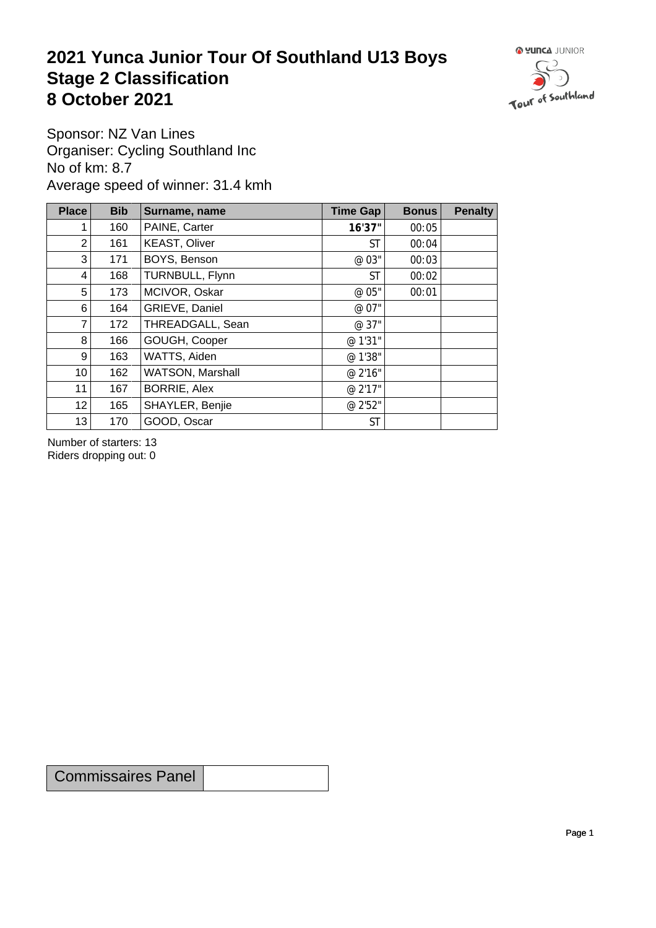## **2021 Yunca Junior Tour Of Southland U13 Boys** Stage 2 Classification<br>8 October 2021 **8 October 2021**



Sponsor: NZ Van Lines Organiser: Cycling Southland Inc No of km: 8.7 Average speed of winner: 31.4 kmh

| <b>Place</b>    | <b>Bib</b> | Surname, name        | Time Gap  | <b>Bonus</b> | <b>Penalty</b> |
|-----------------|------------|----------------------|-----------|--------------|----------------|
| 1 <sub>1</sub>  | 160        | PAINE, Carter        | 16'37"    | 00:05        |                |
| $\overline{2}$  | 161        | <b>KEAST, Oliver</b> | ST        | 00:04        |                |
| 3               | 171        | BOYS, Benson         | @ 03"     | 00:03        |                |
| 4               | 168        | TURNBULL, Flynn      | <b>ST</b> | 00:02        |                |
| 5               | 173        | MCIVOR, Oskar        | @ 05"     | 00:01        |                |
| $6 \mid$        | 164        | GRIEVE, Daniel       | @ 07"     |              |                |
| $\overline{7}$  | 172        | THREADGALL, Sean     | @ 37"     |              |                |
| 8 <sup>1</sup>  | 166        | GOUGH, Cooper        | @ 1'31"   |              |                |
| 9 <sup>°</sup>  | 163        | WATTS, Aiden         | @ 1'38"   |              |                |
| 10 <sub>1</sub> | 162        | WATSON, Marshall     | @ 2'16"   |              |                |
| 11              | 167        | <b>BORRIE, Alex</b>  | @ 2'17"   |              |                |
| 12              | 165        | SHAYLER, Benjie      | @ 2'52"   |              |                |
| 13              | 170        | GOOD, Oscar          | <b>ST</b> |              |                |

Number of starters: 13 Riders dropping out: 0

Commissaires Panel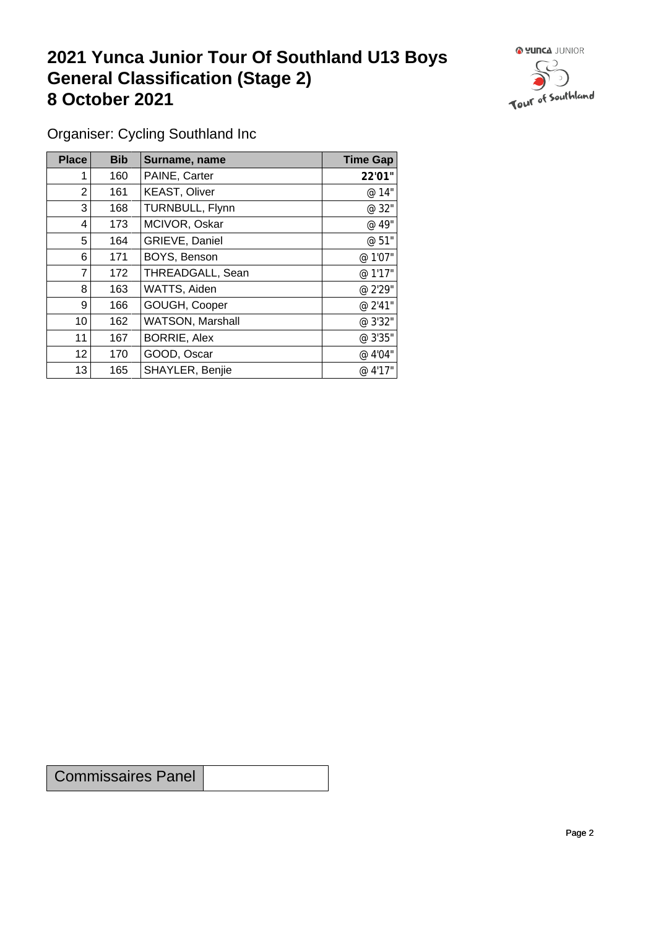## **2021 Yunca Junior Tour Of Southland U13 Boys General Classification (Stage 2)**<br> **8 October 2021 8 October 2021**



Organiser: Cycling Southland Inc

| Place          | <b>Bib</b> | Surname, name        | <b>Time Gap</b> |
|----------------|------------|----------------------|-----------------|
|                | 160        | PAINE, Carter        | 22'01"          |
| $\overline{2}$ | 161        | <b>KEAST, Oliver</b> | @ 14"           |
| 3              | 168        | TURNBULL, Flynn      | @ 32"           |
| 4              | 173        | MCIVOR, Oskar        | @ 49"           |
| 5              | 164        | GRIEVE, Daniel       | @ 51"           |
| 6              | 171        | BOYS, Benson         | @ 1'07"         |
| 7              | 172        | THREADGALL, Sean     | @ 1'17"         |
| 8              | 163        | WATTS, Aiden         | @ 2'29"         |
| 9 <sup>1</sup> | 166        | GOUGH, Cooper        | @ 2'41"         |
| 10             | 162        | WATSON, Marshall     | @ 3'32"         |
| 11             | 167        | <b>BORRIE, Alex</b>  | @ 3'35"         |
| 12             | 170        | GOOD, Oscar          | @ 4'04"         |
| 13             | 165        | SHAYLER, Benjie      | @ 4'17"         |

Commissaires Panel